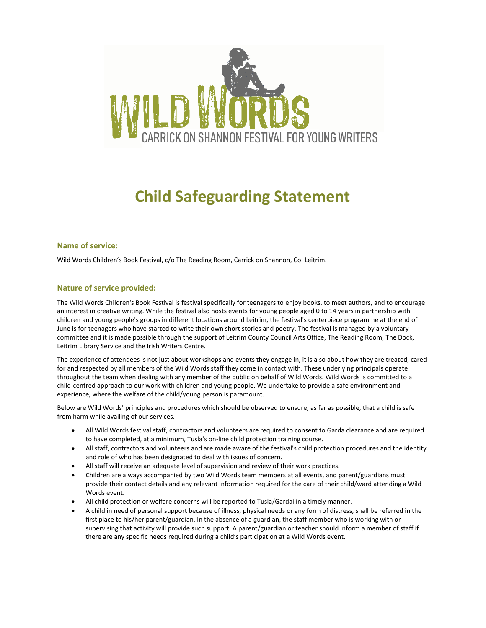

# **Child Safeguarding Statement**

## **Name of service:**

Wild Words Children's Book Festival, c/o The Reading Room, Carrick on Shannon, Co. Leitrim.

## **Nature of service provided:**

The Wild Words Children's Book Festival is festival specifically for teenagers to enjoy books, to meet authors, and to encourage an interest in creative writing. While the festival also hosts events for young people aged 0 to 14 years in partnership with children and young people's groups in different locations around Leitrim, the festival's centerpiece programme at the end of June is for teenagers who have started to write their own short stories and poetry. The festival is managed by a voluntary committee and it is made possible through the support of Leitrim County Council Arts Office, The Reading Room, The Dock, Leitrim Library Service and the Irish Writers Centre.

The experience of attendees is not just about workshops and events they engage in, it is also about how they are treated, cared for and respected by all members of the Wild Words staff they come in contact with. These underlying principals operate throughout the team when dealing with any member of the public on behalf of Wild Words. Wild Words is committed to a child-centred approach to our work with children and young people. We undertake to provide a safe environment and experience, where the welfare of the child/young person is paramount.

Below are Wild Words' principles and procedures which should be observed to ensure, as far as possible, that a child is safe from harm while availing of our services.

- All Wild Words festival staff, contractors and volunteers are required to consent to Garda clearance and are required to have completed, at a minimum, Tusla's on-line child protection training course.
- All staff, contractors and volunteers and are made aware of the festival's child protection procedures and the identity and role of who has been designated to deal with issues of concern.
- All staff will receive an adequate level of supervision and review of their work practices.
- Children are always accompanied by two Wild Words team members at all events, and parent/guardians must provide their contact details and any relevant information required for the care of their child/ward attending a Wild Words event.
- All child protection or welfare concerns will be reported to Tusla/Gardaí in a timely manner.
- A child in need of personal support because of illness, physical needs or any form of distress, shall be referred in the first place to his/her parent/guardian. In the absence of a guardian, the staff member who is working with or supervising that activity will provide such support. A parent/guardian or teacher should inform a member of staff if there are any specific needs required during a child's participation at a Wild Words event.